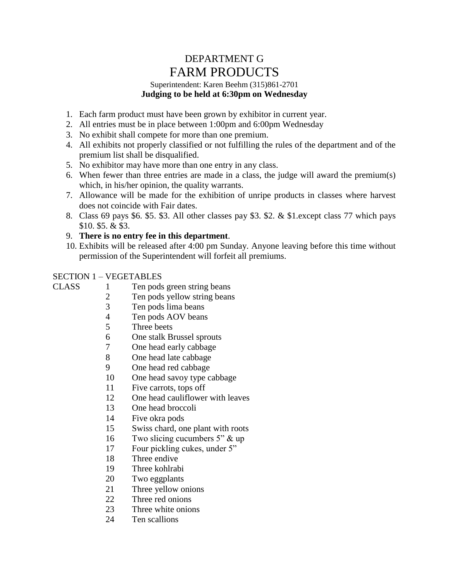# DEPARTMENT G FARM PRODUCTS

#### Superintendent: Karen Beehm (315)861-2701 **Judging to be held at 6:30pm on Wednesday**

- 1. Each farm product must have been grown by exhibitor in current year.
- 2. All entries must be in place between 1:00pm and 6:00pm Wednesday
- 3. No exhibit shall compete for more than one premium.
- 4. All exhibits not properly classified or not fulfilling the rules of the department and of the premium list shall be disqualified.
- 5. No exhibitor may have more than one entry in any class.
- 6. When fewer than three entries are made in a class, the judge will award the premium(s) which, in his/her opinion, the quality warrants.
- 7. Allowance will be made for the exhibition of unripe products in classes where harvest does not coincide with Fair dates.
- 8. Class 69 pays \$6. \$5. \$3. All other classes pay \$3. \$2. & \$1.except class 77 which pays \$10. \$5. & \$3.
- 9. **There is no entry fee in this department**.
- 10. Exhibits will be released after 4:00 pm Sunday. Anyone leaving before this time without permission of the Superintendent will forfeit all premiums.

# SECTION 1 – VEGETABLES

- CLASS 1 Ten pods green string beans
	- 2 Ten pods yellow string beans
	- 3 Ten pods lima beans
	- 4 Ten pods AOV beans
	- 5 Three beets
	- 6 One stalk Brussel sprouts
	- 7 One head early cabbage
	- 8 One head late cabbage
	- 9 One head red cabbage
	- 10 One head savoy type cabbage
	- 11 Five carrots, tops off
	- 12 One head cauliflower with leaves
	- 13 One head broccoli
	- 14 Five okra pods
	- 15 Swiss chard, one plant with roots
	- 16 Two slicing cucumbers 5" & up
	- 17 Four pickling cukes, under 5"
	- 18 Three endive
	- 19 Three kohlrabi
	- 20 Two eggplants
	- 21 Three yellow onions
	- 22 Three red onions
	- 23 Three white onions
	- 24 Ten scallions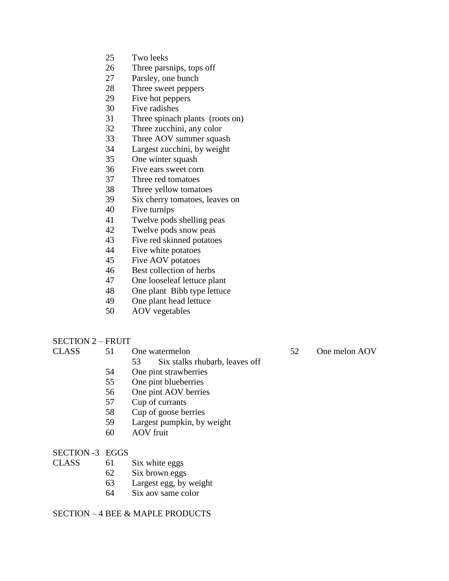- Two leeks
- Three parsnips, tops off
- Parsley, one bunch
- Three sweet peppers
- Five hot peppers
- Five radishes
- Three spinach plants (roots on)
- Three zucchini, any color
- Three AOV summer squash
- Largest zucchini, by weight
- One winter squash
- Five ears sweet corn
- Three red tomatoes
- Three yellow tomatoes
- Six cherry tomatoes, leaves on
- Five turnips
- Twelve pods shelling peas
- Twelve pods snow peas
- Five red skinned potatoes
- Five white potatoes
- Five AOV potatoes
- Best collection of herbs
- One looseleaf lettuce plant
- One plant Bibb type lettuce
- One plant head lettuce
- AOV vegetables
- SECTION 2 FRUIT

- - Six stalks rhubarb, leaves off
- One pint strawberries
- One pint blueberries
- One pint AOV berries
- Cup of currants
- Cup of goose berries
- Largest pumpkin, by weight
- AOV fruit
- SECTION -3 EGGS
- CLASS 61 Six white eggs
	- Six brown eggs
	- Largest egg, by weight
	- Six aov same color

SECTION – 4 BEE & MAPLE PRODUCTS

## CLASS 51 One watermelon 52 One melon AOV